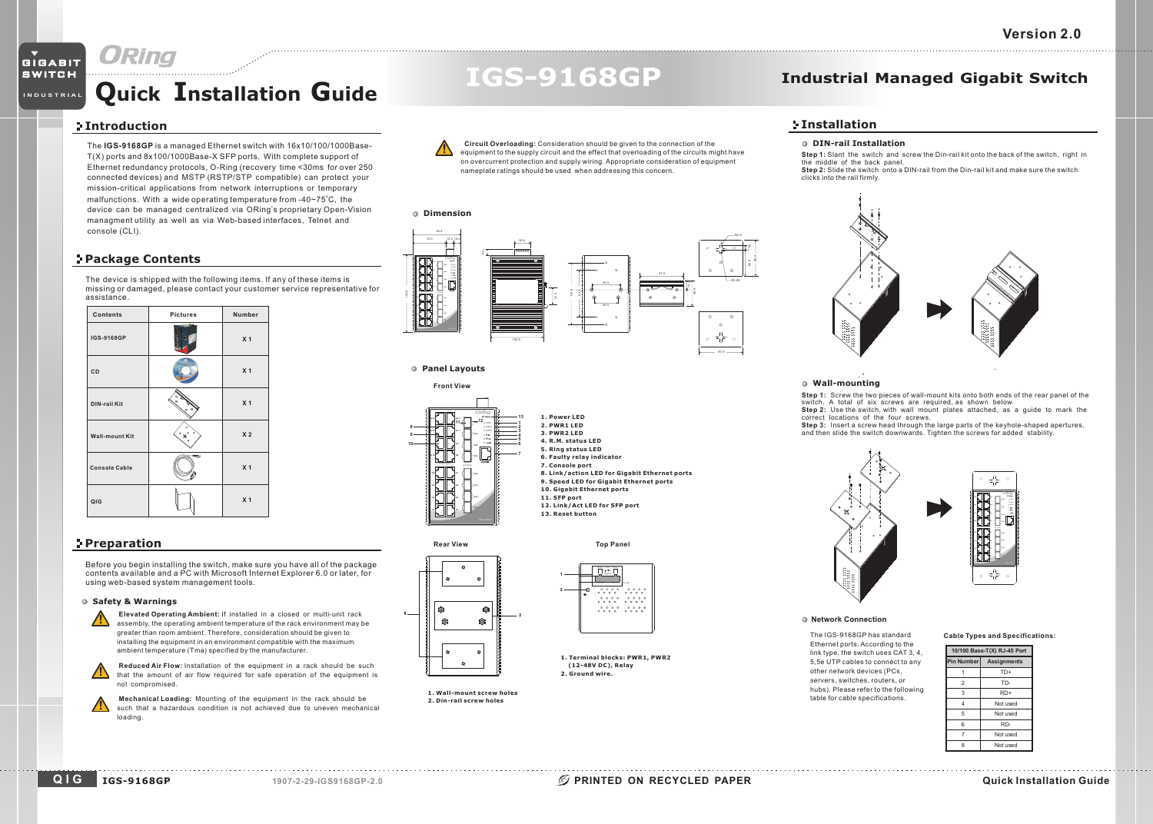# GIGABIT **SWITCH**

# **Quick Installation Guide**

# **Introduction**

**INDUSTRIAL**

The **IGS-9168GP** is a managed Ethernet switch with 16x10/100/1000Base-T(X) ports and 8x100/1000Base-X SFP ports. With complete support of Ethernet redundancy protocols, O-Ring (recovery time <30ms for over 250 connected devices) and MSTP (RSTP/STP compatible) can protect your mission-critical applications from network interruptions or temporary malfunctions. With a wide operating temperature from -40~75°C, the device can be managed centralized via ORing's proprietary Open-Vision managment utility as well as via Web-based interfaces, Telnet and console (CLI).

## **Package Contents**

The device is shipped with the following items. If any of these items is missing or damaged, please contact your customer service representative for assistance.

| <b>Contents</b>       | <b>Pictures</b> | Number         |
|-----------------------|-----------------|----------------|
| IGS-9168GP            |                 | X <sub>1</sub> |
| CD                    |                 | X <sub>1</sub> |
| <b>DIN-rail Kit</b>   |                 | X <sub>1</sub> |
| <b>Wall-mount Kit</b> |                 | X <sub>2</sub> |
| <b>Console Cable</b>  | œ               | X <sub>1</sub> |
| QIG                   |                 | X <sub>1</sub> |

## **Preparation**

Before you begin installing the switch, make sure you have all of the package contents available and <sup>a</sup> PC with Microsoft Internet Explorer 6.0 or later, for using web-based system management tools.

#### **Safety & Warnings**

**Elevated Operating Ambient:** If installed in a closed or multi-unit rack assembly, the operating ambient temperature of the rack environment may be greater than room ambient. Therefore, consideration should be given to installing the equipment in an environment compatible with the maximum ambient temperature (Tma) specified by the manufacturer.

**Reduced Air Flow:** Installation of the equipment in <sup>a</sup> rack should be such that the amount of air flow required for safe operation of the equipment is not compromised.

**Mechanical Loading:** Mounting of the equipment in the rack should be such that a hazardous condition is not achieved due to uneven mechanical loading.



**Circuit Overloading:** Consideration should be given to the connection of the equipment to the supply circuit and the effect that overloading of the circuits might have on overcurrent protection and supply wiring. Appropriate consideration of equipment

**IGS-9168GP**

nameplate ratings should be used when addressing this concern.





 PWR-1 V2- V2+ V1- V1+DC 48V

 $\frac{1}{2}$   $\frac{1}{2}$   $\frac{1}{2}$   $\frac{1}{2}$   $\frac{1}{2}$   $\frac{1}{2}$   $\frac{1}{2}$   $\frac{1}{2}$   $\frac{1}{2}$   $\frac{1}{2}$  $\begin{array}{ccccccccc} & \circ & \circ & \circ & \circ & \circ & \circ & \circ & \circ \\ \circ & \circ & \circ & \circ & \circ & \circ & \circ & \circ & \circ \end{array}$ 

**1. Terminal blocks: PWR1, PWR2 (12-48V DC), Relay 2. Ground wire.**



**2**

**Front View**

**G8 G6**

**10**

**G14G12 G10**

> **1. Wall-mount screw holes2. Din-rail screw holes**

# **Industrial Managed Gigabit Switch**

## **Installation**

### **DIN-rail Installation**

**Step 1:** Slant the switch and screw the Din-rail kit onto the back of the switch, right in **Step 2:** Slide the switch onto a DIN-rail from the Din-rail kit and make sure the switchthe middle of the back panel. clicks into the rail firmly.



#### **Wall-mounting**

**Step 1:** Screw the two pieces of wall-mount kits onto both ends of the rear panel of the switch. A total of six screws are required, as shown below.<br>**Step 2:** Use the switch, with wall mount plates attached, as a guide to mark the

correct locations of the four screws.

**Step 3:** Insert <sup>a</sup> screw head through the large parts of the keyhole-shaped apertures, and then slide the switch downwards. Tighten the screws for added stability.



#### **Network Connection**

The IGS-9168GP has standard Ethernet ports. According to the link type, the switch uses CAT 3, 4, 5,5e UTP cables to connect to any other network devices (PCs, servers, switches, routers, or hubs). Please refer to the following table for cable specifications.



| 10/100 Base-T(X) RJ-45 Port |                    |  |
|-----------------------------|--------------------|--|
| Pin Numberl                 | <b>Assignments</b> |  |
|                             | TD+                |  |
| $\overline{2}$              | TD-                |  |
| 3                           | $RD+$              |  |
| 4                           | Not used           |  |
| 5                           | Not used           |  |
| 6                           | RD-                |  |
| 7                           | Not used           |  |
| 8                           | Not used           |  |
|                             |                    |  |